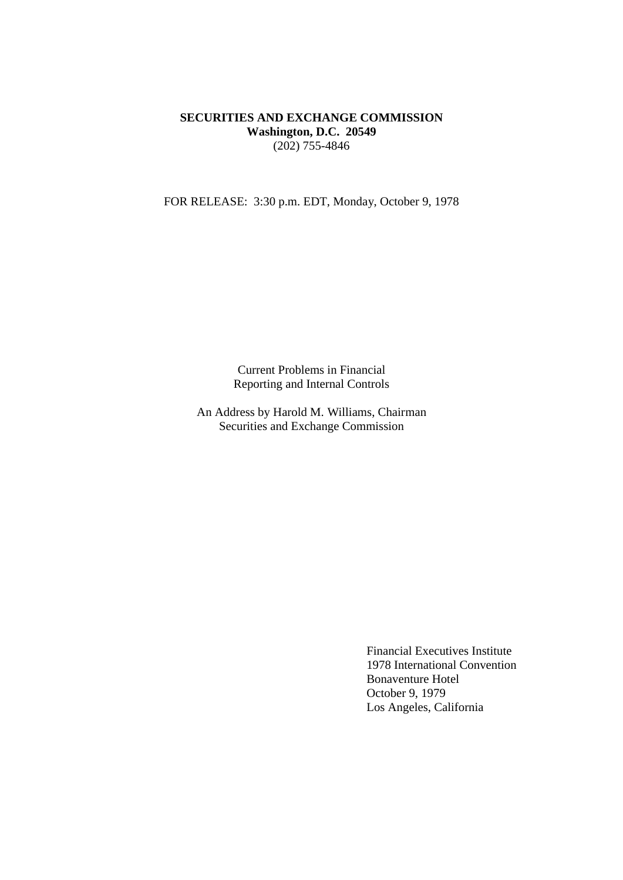# **SECURITIES AND EXCHANGE COMMISSION Washington, D.C. 20549** (202) 755-4846

FOR RELEASE: 3:30 p.m. EDT, Monday, October 9, 1978

Current Problems in Financial Reporting and Internal Controls

An Address by Harold M. Williams, Chairman Securities and Exchange Commission

> Financial Executives Institute 1978 International Convention Bonaventure Hotel October 9, 1979 Los Angeles, California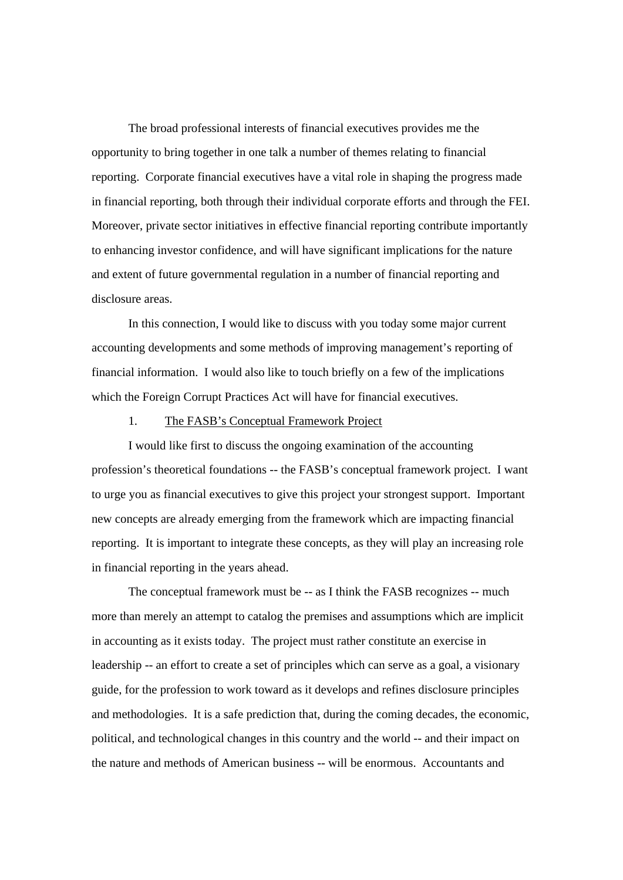The broad professional interests of financial executives provides me the opportunity to bring together in one talk a number of themes relating to financial reporting. Corporate financial executives have a vital role in shaping the progress made in financial reporting, both through their individual corporate efforts and through the FEI. Moreover, private sector initiatives in effective financial reporting contribute importantly to enhancing investor confidence, and will have significant implications for the nature and extent of future governmental regulation in a number of financial reporting and disclosure areas.

In this connection, I would like to discuss with you today some major current accounting developments and some methods of improving management's reporting of financial information. I would also like to touch briefly on a few of the implications which the Foreign Corrupt Practices Act will have for financial executives.

## 1. The FASB's Conceptual Framework Project

I would like first to discuss the ongoing examination of the accounting profession's theoretical foundations -- the FASB's conceptual framework project. I want to urge you as financial executives to give this project your strongest support. Important new concepts are already emerging from the framework which are impacting financial reporting. It is important to integrate these concepts, as they will play an increasing role in financial reporting in the years ahead.

The conceptual framework must be -- as I think the FASB recognizes -- much more than merely an attempt to catalog the premises and assumptions which are implicit in accounting as it exists today. The project must rather constitute an exercise in leadership -- an effort to create a set of principles which can serve as a goal, a visionary guide, for the profession to work toward as it develops and refines disclosure principles and methodologies. It is a safe prediction that, during the coming decades, the economic, political, and technological changes in this country and the world -- and their impact on the nature and methods of American business -- will be enormous. Accountants and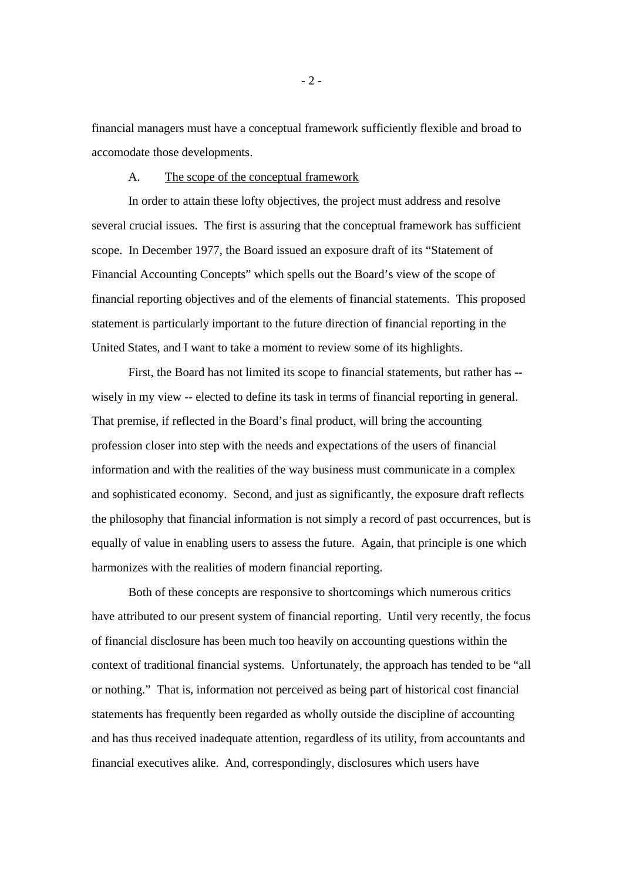financial managers must have a conceptual framework sufficiently flexible and broad to accomodate those developments.

# A. The scope of the conceptual framework

In order to attain these lofty objectives, the project must address and resolve several crucial issues. The first is assuring that the conceptual framework has sufficient scope. In December 1977, the Board issued an exposure draft of its "Statement of Financial Accounting Concepts" which spells out the Board's view of the scope of financial reporting objectives and of the elements of financial statements. This proposed statement is particularly important to the future direction of financial reporting in the United States, and I want to take a moment to review some of its highlights.

First, the Board has not limited its scope to financial statements, but rather has - wisely in my view -- elected to define its task in terms of financial reporting in general. That premise, if reflected in the Board's final product, will bring the accounting profession closer into step with the needs and expectations of the users of financial information and with the realities of the way business must communicate in a complex and sophisticated economy. Second, and just as significantly, the exposure draft reflects the philosophy that financial information is not simply a record of past occurrences, but is equally of value in enabling users to assess the future. Again, that principle is one which harmonizes with the realities of modern financial reporting.

Both of these concepts are responsive to shortcomings which numerous critics have attributed to our present system of financial reporting. Until very recently, the focus of financial disclosure has been much too heavily on accounting questions within the context of traditional financial systems. Unfortunately, the approach has tended to be "all or nothing." That is, information not perceived as being part of historical cost financial statements has frequently been regarded as wholly outside the discipline of accounting and has thus received inadequate attention, regardless of its utility, from accountants and financial executives alike. And, correspondingly, disclosures which users have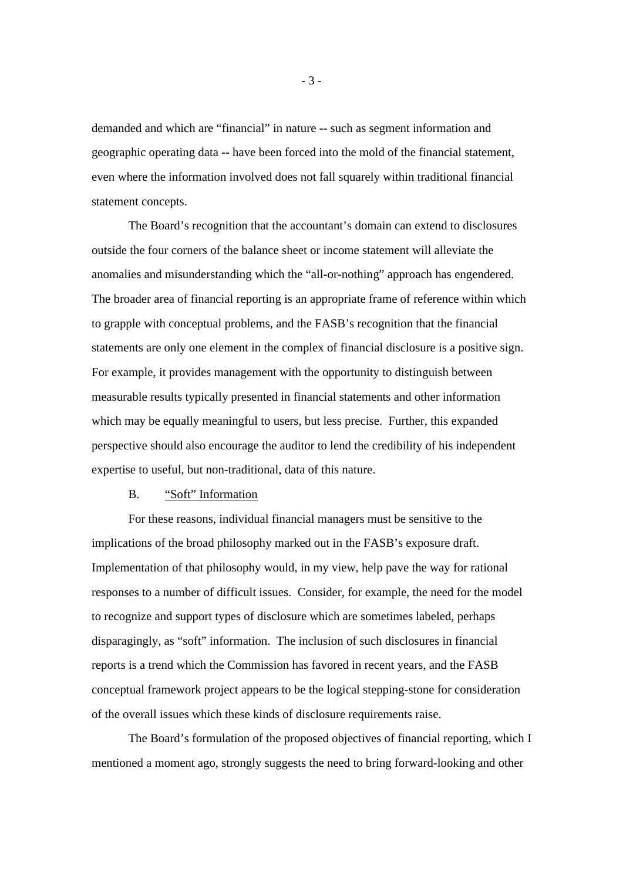demanded and which are "financial" in nature -- such as segment information and geographic operating data -- have been forced into the mold of the financial statement, even where the information involved does not fall squarely within traditional financial statement concepts.

The Board's recognition that the accountant's domain can extend to disclosures outside the four corners of the balance sheet or income statement will alleviate the anomalies and misunderstanding which the "all-or-nothing" approach has engendered. The broader area of financial reporting is an appropriate frame of reference within which to grapple with conceptual problems, and the FASB's recognition that the financial statements are only one element in the complex of financial disclosure is a positive sign. For example, it provides management with the opportunity to distinguish between measurable results typically presented in financial statements and other information which may be equally meaningful to users, but less precise. Further, this expanded perspective should also encourage the auditor to lend the credibility of his independent expertise to useful, but non-traditional, data of this nature.

### B. "Soft" Information

For these reasons, individual financial managers must be sensitive to the implications of the broad philosophy marked out in the FASB's exposure draft. Implementation of that philosophy would, in my view, help pave the way for rational responses to a number of difficult issues. Consider, for example, the need for the model to recognize and support types of disclosure which are sometimes labeled, perhaps disparagingly, as "soft" information. The inclusion of such disclosures in financial reports is a trend which the Commission has favored in recent years, and the FASB conceptual framework project appears to be the logical stepping-stone for consideration of the overall issues which these kinds of disclosure requirements raise.

The Board's formulation of the proposed objectives of financial reporting, which I mentioned a moment ago, strongly suggests the need to bring forward-looking and other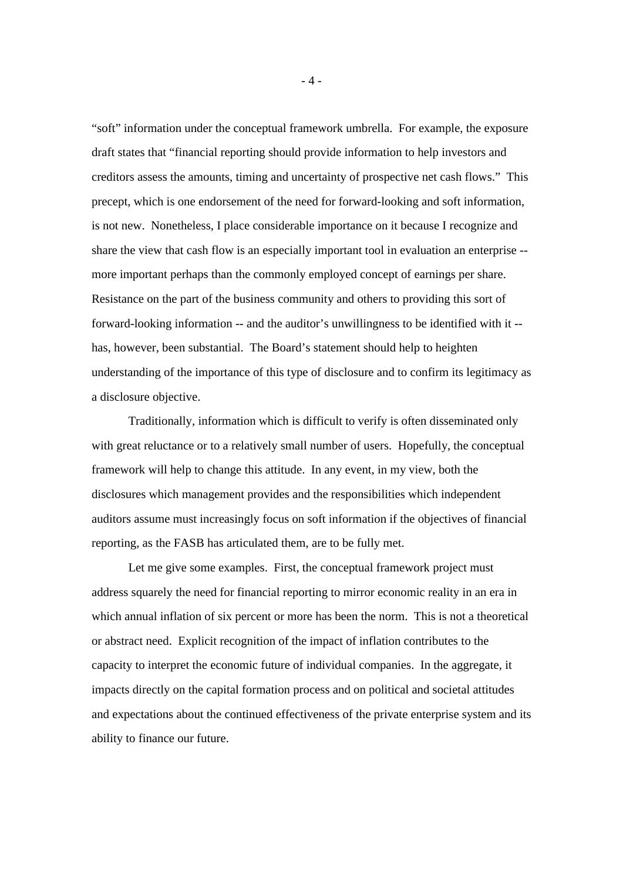"soft" information under the conceptual framework umbrella. For example, the exposure draft states that "financial reporting should provide information to help investors and creditors assess the amounts, timing and uncertainty of prospective net cash flows." This precept, which is one endorsement of the need for forward-looking and soft information, is not new. Nonetheless, I place considerable importance on it because I recognize and share the view that cash flow is an especially important tool in evaluation an enterprise - more important perhaps than the commonly employed concept of earnings per share. Resistance on the part of the business community and others to providing this sort of forward-looking information -- and the auditor's unwillingness to be identified with it - has, however, been substantial. The Board's statement should help to heighten understanding of the importance of this type of disclosure and to confirm its legitimacy as a disclosure objective.

Traditionally, information which is difficult to verify is often disseminated only with great reluctance or to a relatively small number of users. Hopefully, the conceptual framework will help to change this attitude. In any event, in my view, both the disclosures which management provides and the responsibilities which independent auditors assume must increasingly focus on soft information if the objectives of financial reporting, as the FASB has articulated them, are to be fully met.

Let me give some examples. First, the conceptual framework project must address squarely the need for financial reporting to mirror economic reality in an era in which annual inflation of six percent or more has been the norm. This is not a theoretical or abstract need. Explicit recognition of the impact of inflation contributes to the capacity to interpret the economic future of individual companies. In the aggregate, it impacts directly on the capital formation process and on political and societal attitudes and expectations about the continued effectiveness of the private enterprise system and its ability to finance our future.

- 4 -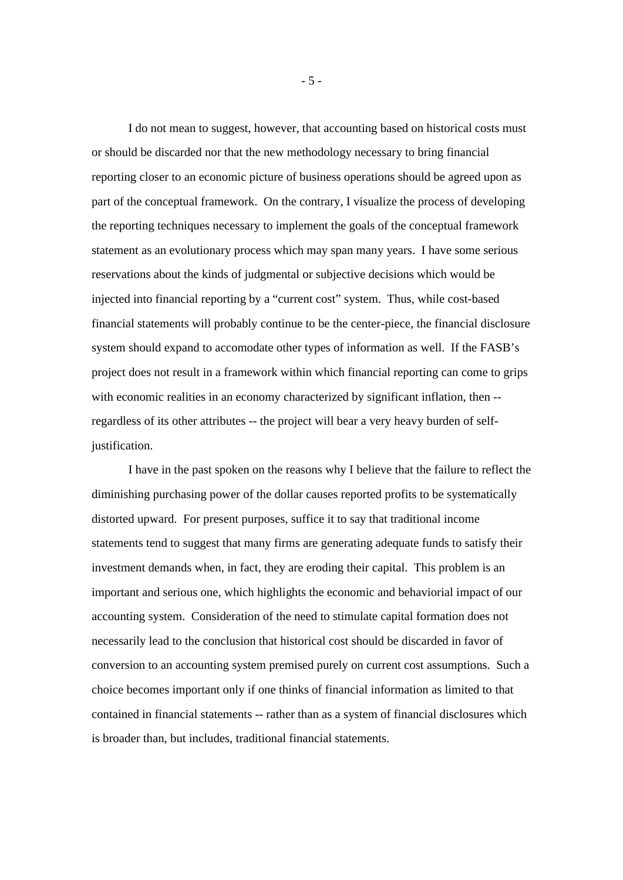I do not mean to suggest, however, that accounting based on historical costs must or should be discarded nor that the new methodology necessary to bring financial reporting closer to an economic picture of business operations should be agreed upon as part of the conceptual framework. On the contrary, I visualize the process of developing the reporting techniques necessary to implement the goals of the conceptual framework statement as an evolutionary process which may span many years. I have some serious reservations about the kinds of judgmental or subjective decisions which would be injected into financial reporting by a "current cost" system. Thus, while cost-based financial statements will probably continue to be the center-piece, the financial disclosure system should expand to accomodate other types of information as well. If the FASB's project does not result in a framework within which financial reporting can come to grips with economic realities in an economy characterized by significant inflation, then -regardless of its other attributes -- the project will bear a very heavy burden of selfjustification.

I have in the past spoken on the reasons why I believe that the failure to reflect the diminishing purchasing power of the dollar causes reported profits to be systematically distorted upward. For present purposes, suffice it to say that traditional income statements tend to suggest that many firms are generating adequate funds to satisfy their investment demands when, in fact, they are eroding their capital. This problem is an important and serious one, which highlights the economic and behaviorial impact of our accounting system. Consideration of the need to stimulate capital formation does not necessarily lead to the conclusion that historical cost should be discarded in favor of conversion to an accounting system premised purely on current cost assumptions. Such a choice becomes important only if one thinks of financial information as limited to that contained in financial statements -- rather than as a system of financial disclosures which is broader than, but includes, traditional financial statements.

- 5 -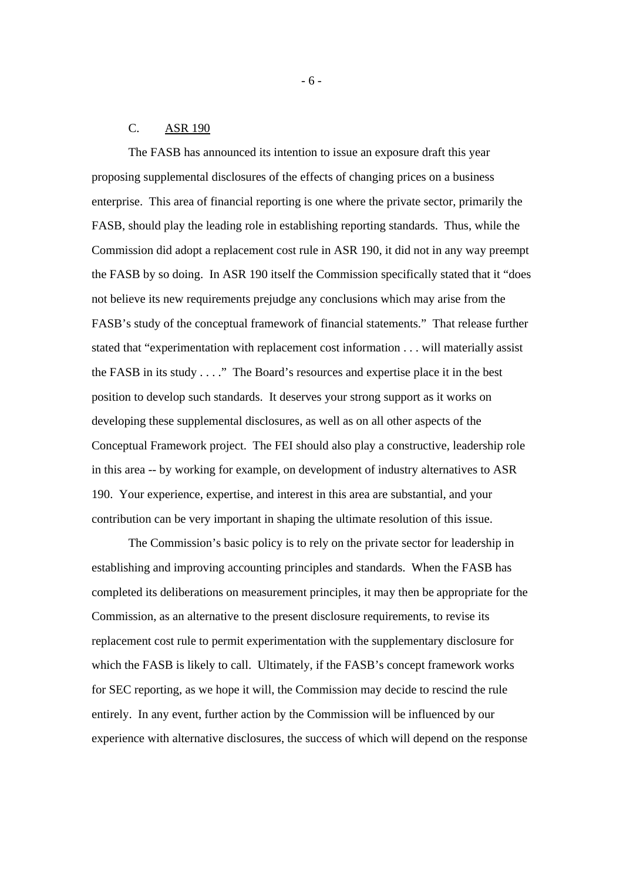# C. ASR 190

The FASB has announced its intention to issue an exposure draft this year proposing supplemental disclosures of the effects of changing prices on a business enterprise. This area of financial reporting is one where the private sector, primarily the FASB, should play the leading role in establishing reporting standards. Thus, while the Commission did adopt a replacement cost rule in ASR 190, it did not in any way preempt the FASB by so doing. In ASR 190 itself the Commission specifically stated that it "does not believe its new requirements prejudge any conclusions which may arise from the FASB's study of the conceptual framework of financial statements." That release further stated that "experimentation with replacement cost information . . . will materially assist the FASB in its study . . . ." The Board's resources and expertise place it in the best position to develop such standards. It deserves your strong support as it works on developing these supplemental disclosures, as well as on all other aspects of the Conceptual Framework project. The FEI should also play a constructive, leadership role in this area -- by working for example, on development of industry alternatives to ASR 190. Your experience, expertise, and interest in this area are substantial, and your contribution can be very important in shaping the ultimate resolution of this issue.

The Commission's basic policy is to rely on the private sector for leadership in establishing and improving accounting principles and standards. When the FASB has completed its deliberations on measurement principles, it may then be appropriate for the Commission, as an alternative to the present disclosure requirements, to revise its replacement cost rule to permit experimentation with the supplementary disclosure for which the FASB is likely to call. Ultimately, if the FASB's concept framework works for SEC reporting, as we hope it will, the Commission may decide to rescind the rule entirely. In any event, further action by the Commission will be influenced by our experience with alternative disclosures, the success of which will depend on the response

- 6 -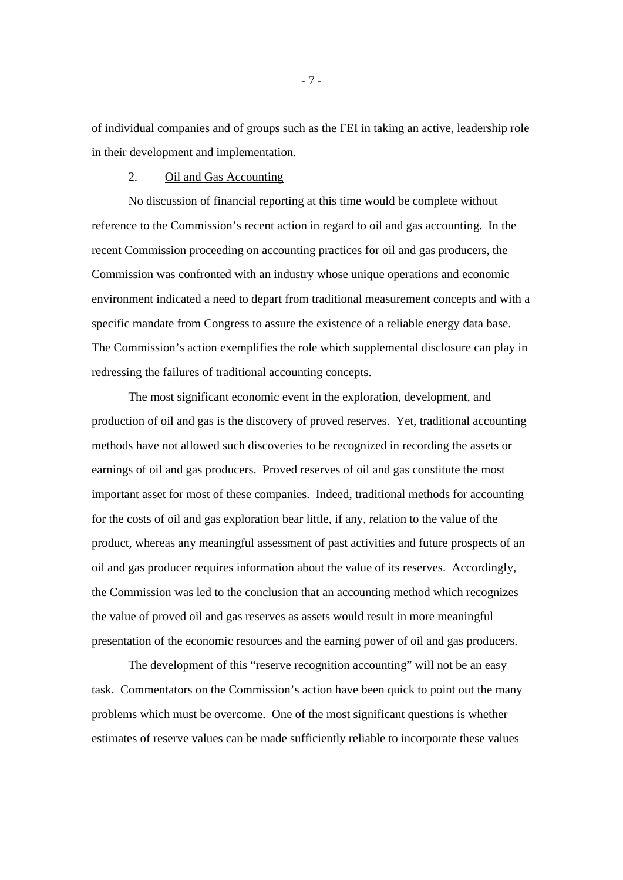of individual companies and of groups such as the FEI in taking an active, leadership role in their development and implementation.

# 2. Oil and Gas Accounting

No discussion of financial reporting at this time would be complete without reference to the Commission's recent action in regard to oil and gas accounting. In the recent Commission proceeding on accounting practices for oil and gas producers, the Commission was confronted with an industry whose unique operations and economic environment indicated a need to depart from traditional measurement concepts and with a specific mandate from Congress to assure the existence of a reliable energy data base. The Commission's action exemplifies the role which supplemental disclosure can play in redressing the failures of traditional accounting concepts.

The most significant economic event in the exploration, development, and production of oil and gas is the discovery of proved reserves. Yet, traditional accounting methods have not allowed such discoveries to be recognized in recording the assets or earnings of oil and gas producers. Proved reserves of oil and gas constitute the most important asset for most of these companies. Indeed, traditional methods for accounting for the costs of oil and gas exploration bear little, if any, relation to the value of the product, whereas any meaningful assessment of past activities and future prospects of an oil and gas producer requires information about the value of its reserves. Accordingly, the Commission was led to the conclusion that an accounting method which recognizes the value of proved oil and gas reserves as assets would result in more meaningful presentation of the economic resources and the earning power of oil and gas producers.

The development of this "reserve recognition accounting" will not be an easy task. Commentators on the Commission's action have been quick to point out the many problems which must be overcome. One of the most significant questions is whether estimates of reserve values can be made sufficiently reliable to incorporate these values

- 7 -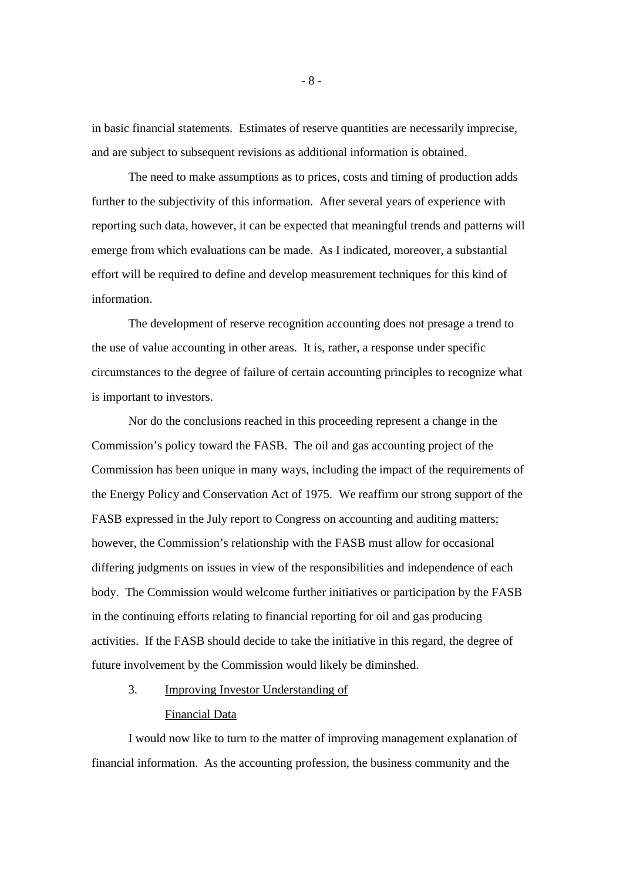in basic financial statements. Estimates of reserve quantities are necessarily imprecise, and are subject to subsequent revisions as additional information is obtained.

The need to make assumptions as to prices, costs and timing of production adds further to the subjectivity of this information. After several years of experience with reporting such data, however, it can be expected that meaningful trends and patterns will emerge from which evaluations can be made. As I indicated, moreover, a substantial effort will be required to define and develop measurement techniques for this kind of information.

The development of reserve recognition accounting does not presage a trend to the use of value accounting in other areas. It is, rather, a response under specific circumstances to the degree of failure of certain accounting principles to recognize what is important to investors.

Nor do the conclusions reached in this proceeding represent a change in the Commission's policy toward the FASB. The oil and gas accounting project of the Commission has been unique in many ways, including the impact of the requirements of the Energy Policy and Conservation Act of 1975. We reaffirm our strong support of the FASB expressed in the July report to Congress on accounting and auditing matters; however, the Commission's relationship with the FASB must allow for occasional differing judgments on issues in view of the responsibilities and independence of each body. The Commission would welcome further initiatives or participation by the FASB in the continuing efforts relating to financial reporting for oil and gas producing activities. If the FASB should decide to take the initiative in this regard, the degree of future involvement by the Commission would likely be diminshed.

3. Improving Investor Understanding of

# Financial Data

I would now like to turn to the matter of improving management explanation of financial information. As the accounting profession, the business community and the

- 8 -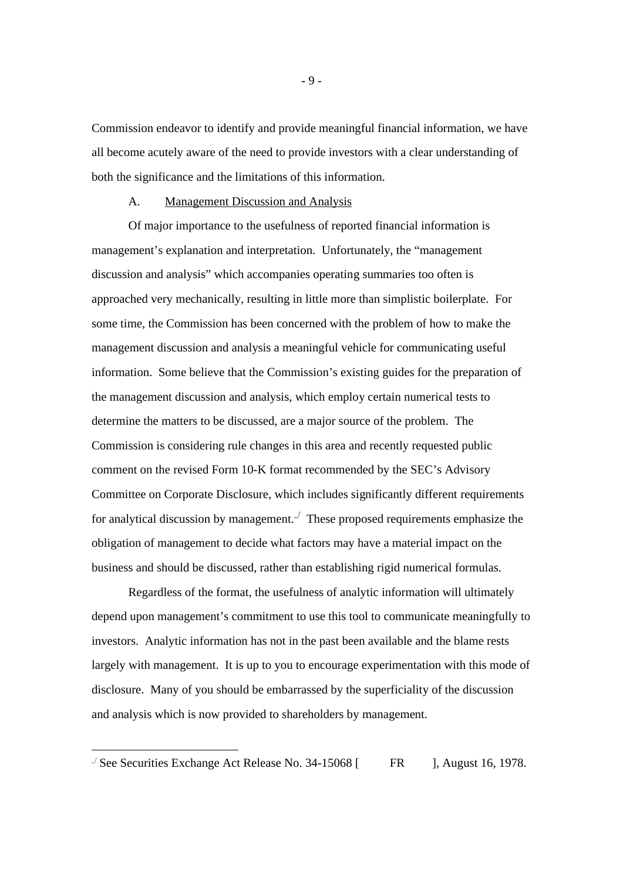Commission endeavor to identify and provide meaningful financial information, we have all become acutely aware of the need to provide investors with a clear understanding of both the significance and the limitations of this information.

### A. Management Discussion and Analysis

Of major importance to the usefulness of reported financial information is management's explanation and interpretation. Unfortunately, the "management discussion and analysis" which accompanies operating summaries too often is approached very mechanically, resulting in little more than simplistic boilerplate. For some time, the Commission has been concerned with the problem of how to make the management discussion and analysis a meaningful vehicle for communicating useful information. Some believe that the Commission's existing guides for the preparation of the management discussion and analysis, which employ certain numerical tests to determine the matters to be discussed, are a major source of the problem. The Commission is considering rule changes in this area and recently requested public comment on the revised Form 10-K format recommended by the SEC's Advisory Committee on Corporate Disclosure, which includes significantly different requirements for analytical discussion by management.<sup> $\angle$ </sup> These proposed requirements emphasize the obligation of management to decide what factors may have a material impact on the business and should be discussed, rather than establishing rigid numerical formulas.

Regardless of the format, the usefulness of analytic information will ultimately depend upon management's commitment to use this tool to communicate meaningfully to investors. Analytic information has not in the past been available and the blame rests largely with management. It is up to you to encourage experimentation with this mode of disclosure. Many of you should be embarrassed by the superficiality of the discussion and analysis which is now provided to shareholders by management.

-

 $\frac{1}{2}$  See Securities Exchange Act Release No. 34-15068 [ FR ], August 16, 1978.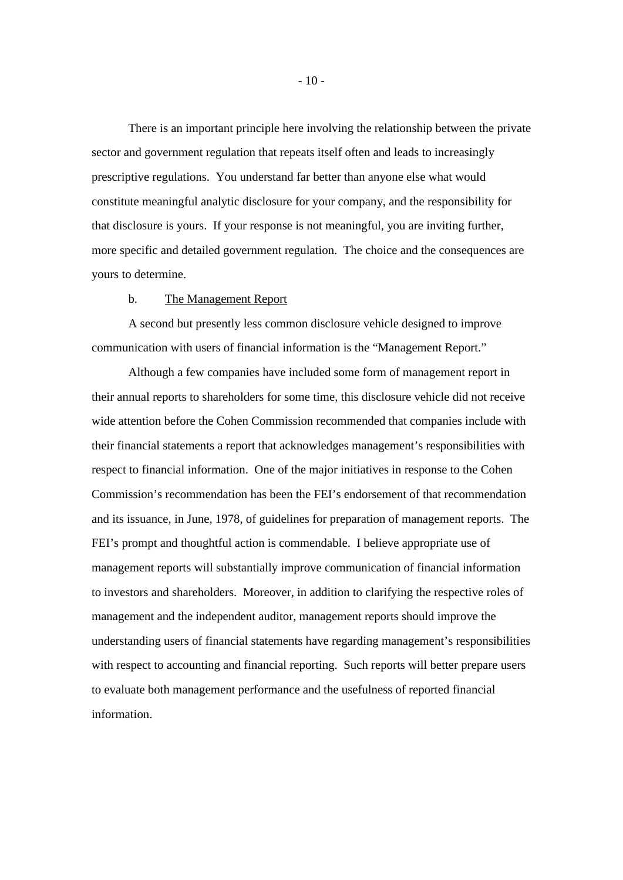There is an important principle here involving the relationship between the private sector and government regulation that repeats itself often and leads to increasingly prescriptive regulations. You understand far better than anyone else what would constitute meaningful analytic disclosure for your company, and the responsibility for that disclosure is yours. If your response is not meaningful, you are inviting further, more specific and detailed government regulation. The choice and the consequences are yours to determine.

#### b. The Management Report

A second but presently less common disclosure vehicle designed to improve communication with users of financial information is the "Management Report."

Although a few companies have included some form of management report in their annual reports to shareholders for some time, this disclosure vehicle did not receive wide attention before the Cohen Commission recommended that companies include with their financial statements a report that acknowledges management's responsibilities with respect to financial information. One of the major initiatives in response to the Cohen Commission's recommendation has been the FEI's endorsement of that recommendation and its issuance, in June, 1978, of guidelines for preparation of management reports. The FEI's prompt and thoughtful action is commendable. I believe appropriate use of management reports will substantially improve communication of financial information to investors and shareholders. Moreover, in addition to clarifying the respective roles of management and the independent auditor, management reports should improve the understanding users of financial statements have regarding management's responsibilities with respect to accounting and financial reporting. Such reports will better prepare users to evaluate both management performance and the usefulness of reported financial information.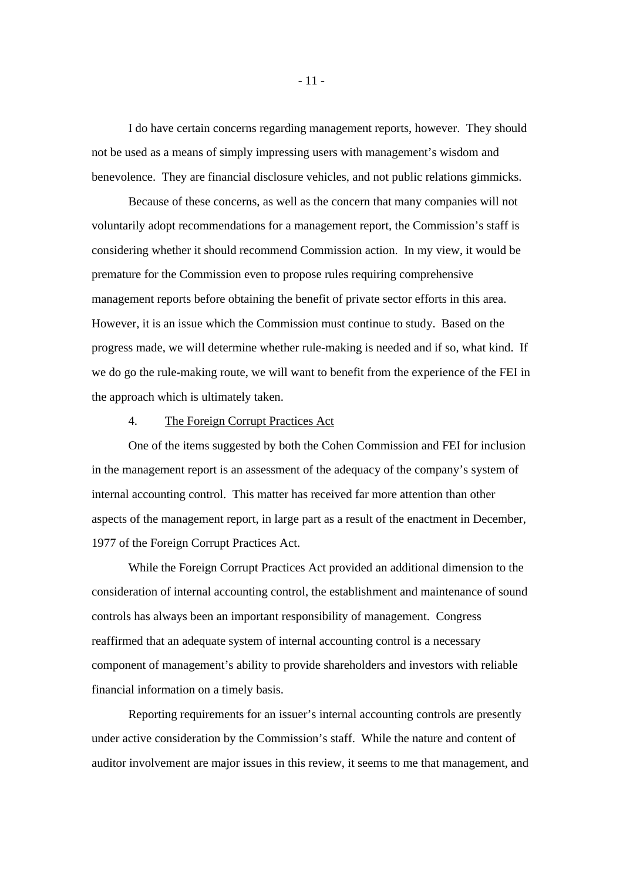I do have certain concerns regarding management reports, however. They should not be used as a means of simply impressing users with management's wisdom and benevolence. They are financial disclosure vehicles, and not public relations gimmicks.

Because of these concerns, as well as the concern that many companies will not voluntarily adopt recommendations for a management report, the Commission's staff is considering whether it should recommend Commission action. In my view, it would be premature for the Commission even to propose rules requiring comprehensive management reports before obtaining the benefit of private sector efforts in this area. However, it is an issue which the Commission must continue to study. Based on the progress made, we will determine whether rule-making is needed and if so, what kind. If we do go the rule-making route, we will want to benefit from the experience of the FEI in the approach which is ultimately taken.

## 4. The Foreign Corrupt Practices Act

One of the items suggested by both the Cohen Commission and FEI for inclusion in the management report is an assessment of the adequacy of the company's system of internal accounting control. This matter has received far more attention than other aspects of the management report, in large part as a result of the enactment in December, 1977 of the Foreign Corrupt Practices Act.

While the Foreign Corrupt Practices Act provided an additional dimension to the consideration of internal accounting control, the establishment and maintenance of sound controls has always been an important responsibility of management. Congress reaffirmed that an adequate system of internal accounting control is a necessary component of management's ability to provide shareholders and investors with reliable financial information on a timely basis.

Reporting requirements for an issuer's internal accounting controls are presently under active consideration by the Commission's staff. While the nature and content of auditor involvement are major issues in this review, it seems to me that management, and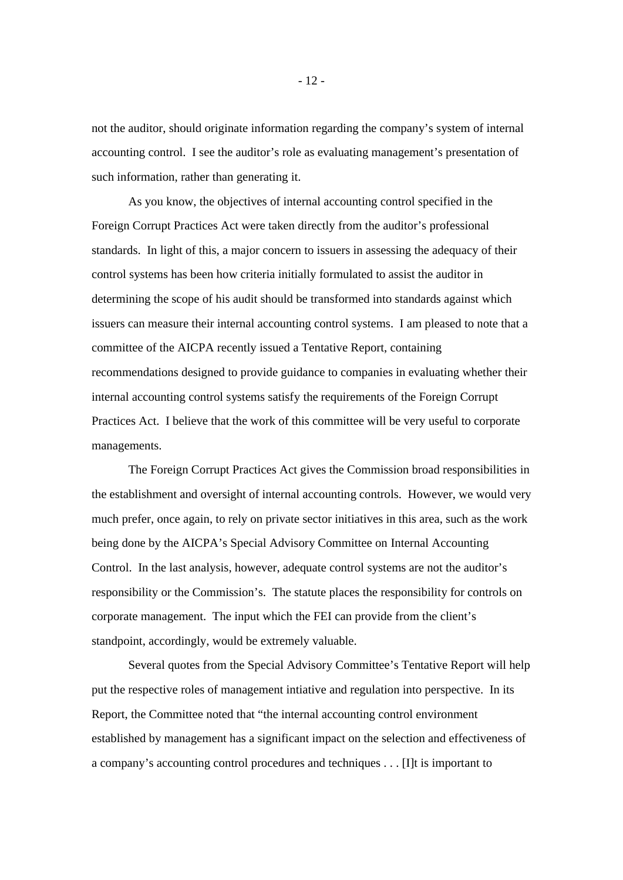not the auditor, should originate information regarding the company's system of internal accounting control. I see the auditor's role as evaluating management's presentation of such information, rather than generating it.

As you know, the objectives of internal accounting control specified in the Foreign Corrupt Practices Act were taken directly from the auditor's professional standards. In light of this, a major concern to issuers in assessing the adequacy of their control systems has been how criteria initially formulated to assist the auditor in determining the scope of his audit should be transformed into standards against which issuers can measure their internal accounting control systems. I am pleased to note that a committee of the AICPA recently issued a Tentative Report, containing recommendations designed to provide guidance to companies in evaluating whether their internal accounting control systems satisfy the requirements of the Foreign Corrupt Practices Act. I believe that the work of this committee will be very useful to corporate managements.

The Foreign Corrupt Practices Act gives the Commission broad responsibilities in the establishment and oversight of internal accounting controls. However, we would very much prefer, once again, to rely on private sector initiatives in this area, such as the work being done by the AICPA's Special Advisory Committee on Internal Accounting Control. In the last analysis, however, adequate control systems are not the auditor's responsibility or the Commission's. The statute places the responsibility for controls on corporate management. The input which the FEI can provide from the client's standpoint, accordingly, would be extremely valuable.

Several quotes from the Special Advisory Committee's Tentative Report will help put the respective roles of management intiative and regulation into perspective. In its Report, the Committee noted that "the internal accounting control environment established by management has a significant impact on the selection and effectiveness of a company's accounting control procedures and techniques . . . [I]t is important to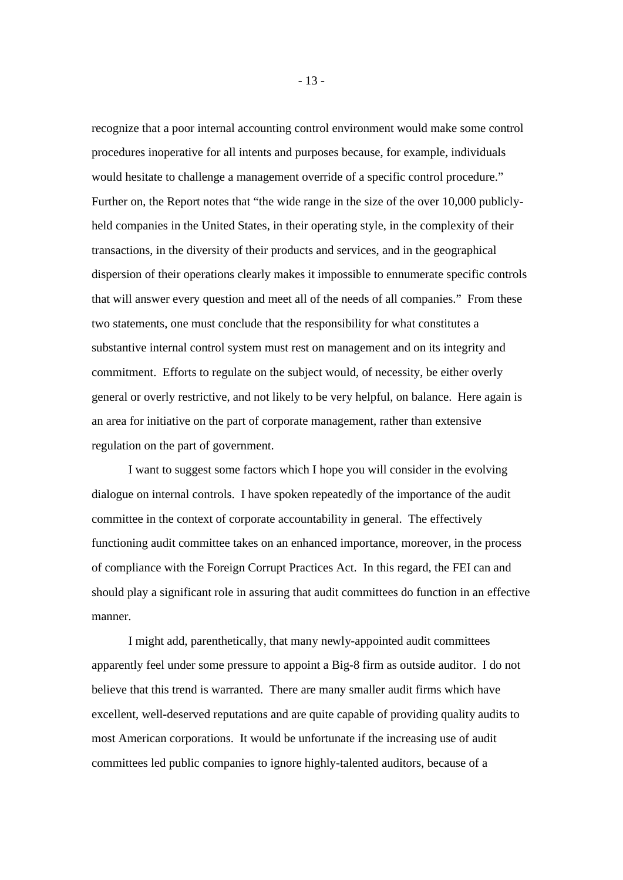recognize that a poor internal accounting control environment would make some control procedures inoperative for all intents and purposes because, for example, individuals would hesitate to challenge a management override of a specific control procedure." Further on, the Report notes that "the wide range in the size of the over 10,000 publiclyheld companies in the United States, in their operating style, in the complexity of their transactions, in the diversity of their products and services, and in the geographical dispersion of their operations clearly makes it impossible to ennumerate specific controls that will answer every question and meet all of the needs of all companies." From these two statements, one must conclude that the responsibility for what constitutes a substantive internal control system must rest on management and on its integrity and commitment. Efforts to regulate on the subject would, of necessity, be either overly general or overly restrictive, and not likely to be very helpful, on balance. Here again is an area for initiative on the part of corporate management, rather than extensive regulation on the part of government.

I want to suggest some factors which I hope you will consider in the evolving dialogue on internal controls. I have spoken repeatedly of the importance of the audit committee in the context of corporate accountability in general. The effectively functioning audit committee takes on an enhanced importance, moreover, in the process of compliance with the Foreign Corrupt Practices Act. In this regard, the FEI can and should play a significant role in assuring that audit committees do function in an effective manner.

I might add, parenthetically, that many newly-appointed audit committees apparently feel under some pressure to appoint a Big-8 firm as outside auditor. I do not believe that this trend is warranted. There are many smaller audit firms which have excellent, well-deserved reputations and are quite capable of providing quality audits to most American corporations. It would be unfortunate if the increasing use of audit committees led public companies to ignore highly-talented auditors, because of a

- 13 -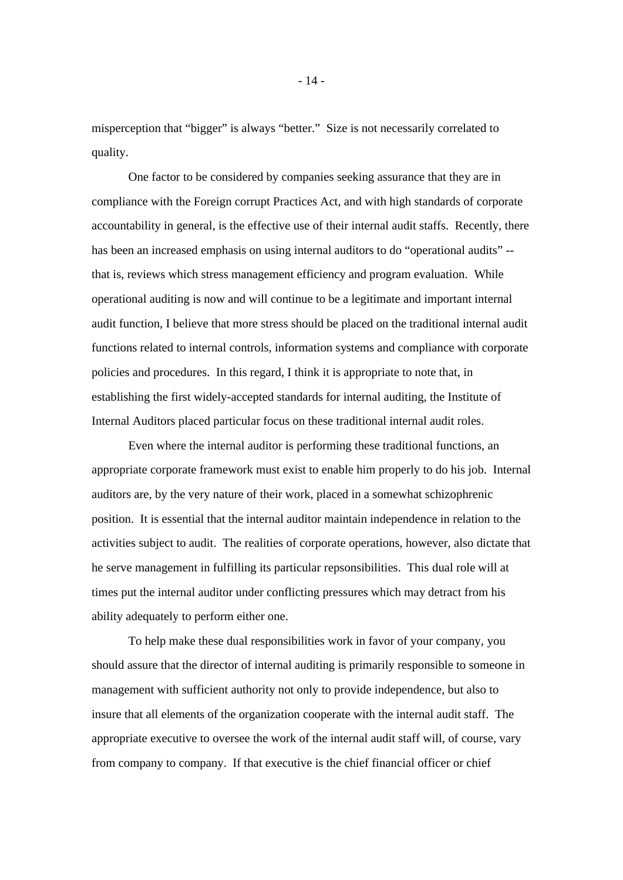misperception that "bigger" is always "better." Size is not necessarily correlated to quality.

One factor to be considered by companies seeking assurance that they are in compliance with the Foreign corrupt Practices Act, and with high standards of corporate accountability in general, is the effective use of their internal audit staffs. Recently, there has been an increased emphasis on using internal auditors to do "operational audits" - that is, reviews which stress management efficiency and program evaluation. While operational auditing is now and will continue to be a legitimate and important internal audit function, I believe that more stress should be placed on the traditional internal audit functions related to internal controls, information systems and compliance with corporate policies and procedures. In this regard, I think it is appropriate to note that, in establishing the first widely-accepted standards for internal auditing, the Institute of Internal Auditors placed particular focus on these traditional internal audit roles.

Even where the internal auditor is performing these traditional functions, an appropriate corporate framework must exist to enable him properly to do his job. Internal auditors are, by the very nature of their work, placed in a somewhat schizophrenic position. It is essential that the internal auditor maintain independence in relation to the activities subject to audit. The realities of corporate operations, however, also dictate that he serve management in fulfilling its particular repsonsibilities. This dual role will at times put the internal auditor under conflicting pressures which may detract from his ability adequately to perform either one.

To help make these dual responsibilities work in favor of your company, you should assure that the director of internal auditing is primarily responsible to someone in management with sufficient authority not only to provide independence, but also to insure that all elements of the organization cooperate with the internal audit staff. The appropriate executive to oversee the work of the internal audit staff will, of course, vary from company to company. If that executive is the chief financial officer or chief

- 14 -